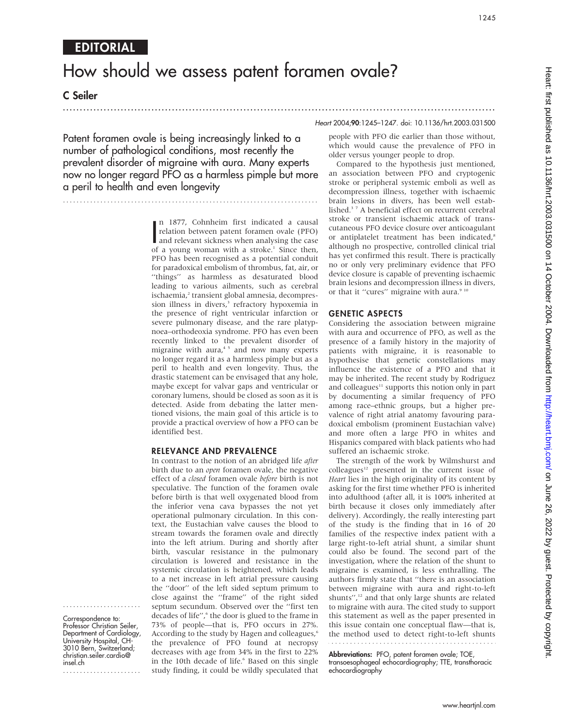....................... Correspondence to: Professor Christian Seiler, Department of Cardiology, University Hospital, CH-3010 Bern, Switzerland; christian.seiler.cardio@

.......................

insel.ch

# How should we assess patent foramen ovale?

C Seiler

...............................................................................................................................

Patent foramen ovale is being increasingly linked to a number of pathological conditions, most recently the prevalent disorder of migraine with aura. Many experts now no longer regard PFO as a harmless pimple but more a peril to health and even longevity

...........................................................................

In 1877, Connheim first indicated a causal<br>relation between patent foramen ovale (PFO)<br>and relevant sickness when analysing the case<br>of a young woman with a stroke<sup>1</sup> Since then n 1877, Cohnheim first indicated a causal relation between patent foramen ovale (PFO) of a young woman with a stroke.<sup>1</sup> Since then, PFO has been recognised as a potential conduit for paradoxical embolism of thrombus, fat, air, or ''things'' as harmless as desaturated blood leading to various ailments, such as cerebral ischaemia,<sup>2</sup> transient global amnesia, decompression illness in divers,<sup>3</sup> refractory hypoxemia in the presence of right ventricular infarction or severe pulmonary disease, and the rare platypnoea–orthodeoxia syndrome. PFO has even been recently linked to the prevalent disorder of migraine with  $a$ ura, $45$  and now many experts no longer regard it as a harmless pimple but as a peril to health and even longevity. Thus, the drastic statement can be envisaged that any hole, maybe except for valvar gaps and ventricular or coronary lumens, should be closed as soon as it is detected. Aside from debating the latter mentioned visions, the main goal of this article is to provide a practical overview of how a PFO can be identified best.

#### RELEVANCE AND PREVALENCE

In contrast to the notion of an abridged life after birth due to an open foramen ovale, the negative effect of a closed foramen ovale before birth is not speculative. The function of the foramen ovale before birth is that well oxygenated blood from the inferior vena cava bypasses the not yet operational pulmonary circulation. In this context, the Eustachian valve causes the blood to stream towards the foramen ovale and directly into the left atrium. During and shortly after birth, vascular resistance in the pulmonary circulation is lowered and resistance in the systemic circulation is heightened, which leads to a net increase in left atrial pressure causing the ''door'' of the left sided septum primum to close against the ''frame'' of the right sided septum secundum. Observed over the ''first ten decades of life",<sup>6</sup> the door is glued to the frame in 73% of people—that is, PFO occurs in 27%. According to the study by Hagen and colleagues,<sup>6</sup> the prevalence of PFO found at necropsy decreases with age from 34% in the first to 22% in the 10th decade of life.<sup>6</sup> Based on this single study finding, it could be wildly speculated that

#### Heart 2004;90:1245–1247. doi: 10.1136/hrt.2003.031500

people with PFO die earlier than those without, which would cause the prevalence of PFO in older versus younger people to drop.

Compared to the hypothesis just mentioned, an association between PFO and cryptogenic stroke or peripheral systemic emboli as well as decompression illness, together with ischaemic brain lesions in divers, has been well established.<sup>37</sup> A beneficial effect on recurrent cerebral stroke or transient ischaemic attack of transcutaneous PFO device closure over anticoagulant or antiplatelet treatment has been indicated,<sup>8</sup> although no prospective, controlled clinical trial has yet confirmed this result. There is practically no or only very preliminary evidence that PFO device closure is capable of preventing ischaemic brain lesions and decompression illness in divers, or that it "cures" migraine with aura.<sup>9 10</sup>

#### GENETIC ASPECTS

Considering the association between migraine with aura and occurrence of PFO, as well as the presence of a family history in the majority of patients with migraine, it is reasonable to hypothesise that genetic constellations may influence the existence of a PFO and that it may be inherited. The recent study by Rodriguez and colleagues $11$  supports this notion only in part by documenting a similar frequency of PFO among race–ethnic groups, but a higher prevalence of right atrial anatomy favouring paradoxical embolism (prominent Eustachian valve) and more often a large PFO in whites and Hispanics compared with black patients who had suffered an ischaemic stroke.

The strength of the work by Wilmshurst and colleagues<sup>12</sup> presented in the current issue of Heart lies in the high originality of its content by asking for the first time whether PFO is inherited into adulthood (after all, it is 100% inherited at birth because it closes only immediately after delivery). Accordingly, the really interesting part of the study is the finding that in 16 of 20 families of the respective index patient with a large right-to-left atrial shunt, a similar shunt could also be found. The second part of the investigation, where the relation of the shunt to migraine is examined, is less enthralling. The authors firmly state that ''there is an association between migraine with aura and right-to-left shunts", $\frac{12}{12}$  and that only large shunts are related to migraine with aura. The cited study to support this statement as well as the paper presented in this issue contain one conceptual flaw—that is, the method used to detect right-to-left shunts 

**Abbreviations:** PFO, patent foramen ovale; TOE, transoesophageal echocardiography; TTE, transthoracic echocardiography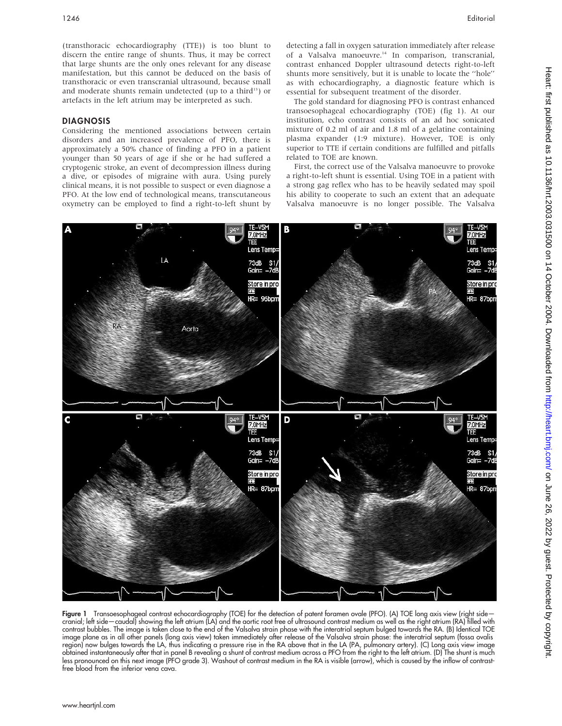(transthoracic echocardiography (TTE)) is too blunt to discern the entire range of shunts. Thus, it may be correct that large shunts are the only ones relevant for any disease manifestation, but this cannot be deduced on the basis of transthoracic or even transcranial ultrasound, because small and moderate shunts remain undetected (up to a third<sup>13</sup>) or artefacts in the left atrium may be interpreted as such.

#### DIAGNOSIS

Considering the mentioned associations between certain disorders and an increased prevalence of PFO, there is approximately a 50% chance of finding a PFO in a patient younger than 50 years of age if she or he had suffered a cryptogenic stroke, an event of decompression illness during a dive, or episodes of migraine with aura. Using purely clinical means, it is not possible to suspect or even diagnose a PFO. At the low end of technological means, transcutaneous oxymetry can be employed to find a right-to-left shunt by

detecting a fall in oxygen saturation immediately after release of a Valsalva manoeuvre.<sup>14</sup> In comparison, transcranial, contrast enhanced Doppler ultrasound detects right-to-left shunts more sensitively, but it is unable to locate the ''hole'' as with echocardiography, a diagnostic feature which is essential for subsequent treatment of the disorder.

The gold standard for diagnosing PFO is contrast enhanced transoesophageal echocardiography (TOE) (fig 1). At our institution, echo contrast consists of an ad hoc sonicated mixture of 0.2 ml of air and 1.8 ml of a gelatine containing plasma expander (1:9 mixture). However, TOE is only superior to TTE if certain conditions are fulfilled and pitfalls related to TOE are known.

First, the correct use of the Valsalva manoeuvre to provoke a right-to-left shunt is essential. Using TOE in a patient with a strong gag reflex who has to be heavily sedated may spoil his ability to cooperate to such an extent that an adequate Valsalva manoeuvre is no longer possible. The Valsalva



Figure 1 Transoesophageal contrast echocardiography (TOE) for the detection of patent foramen ovale (PFO). (A) TOE long axis view (right sidecranial; left side—caudal) showing the left atrium (LA) and the aortic root free of ultrasound contrast medium as well as the right atrium (RA) filled with contrast bubbles. The image is taken close to the end of the Valsalva strain phase with the interatrial septum bulged towards the RA. (B) Identical TOE image plane as in all other panels (long axis view) taken immediately after release of the Valsalva strain phase: the interatrial septum (fossa ovalis region) now bulges towards the LA, thus indicating a pressure rise in the RA above that in the LA (PA, pulmonary artery). (C) Long axis view image obtained instantaneously after that in panel B revealing a shunt of contrast medium across a PFO from the right to the left atrium. (D) The shunt is much less pronounced on this next image (PFO grade 3). Washout of contrast medium in the RA is visible (arrow), which is caused by the inflow of contrastfree blood from the inferior vena cava.